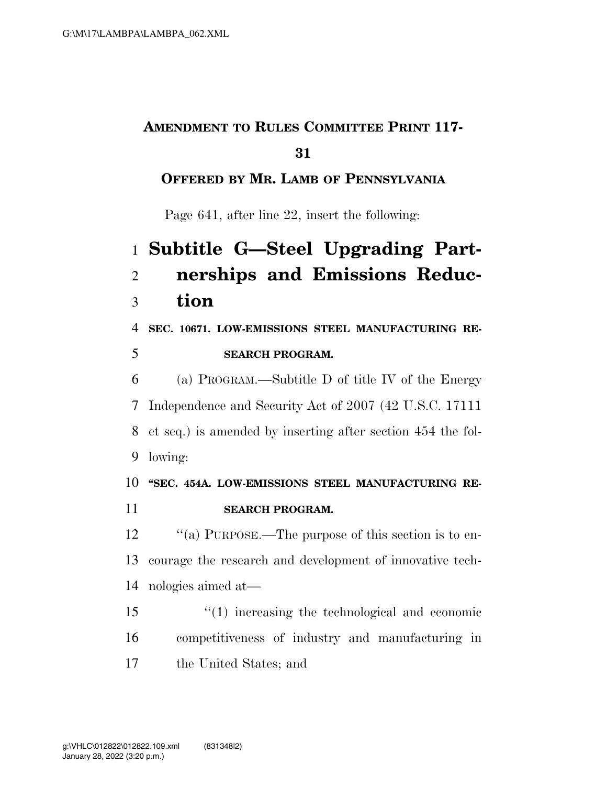## **AMENDMENT TO RULES COMMITTEE PRINT 117-**

#### 

### **OFFERED BY MR. LAMB OF PENNSYLVANIA**

Page 641, after line 22, insert the following:

# **Subtitle G—Steel Upgrading Part- nerships and Emissions Reduc-tion**

 **SEC. 10671. LOW-EMISSIONS STEEL MANUFACTURING RE-SEARCH PROGRAM.** 

 (a) PROGRAM.—Subtitle D of title IV of the Energy Independence and Security Act of 2007 (42 U.S.C. 17111 et seq.) is amended by inserting after section 454 the fol-lowing:

## **''SEC. 454A. LOW-EMISSIONS STEEL MANUFACTURING RE-**

**SEARCH PROGRAM.** 

12  $\cdot$  "(a) PURPOSE.—The purpose of this section is to en- courage the research and development of innovative tech-nologies aimed at—

 ''(1) increasing the technological and economic competitiveness of industry and manufacturing in the United States; and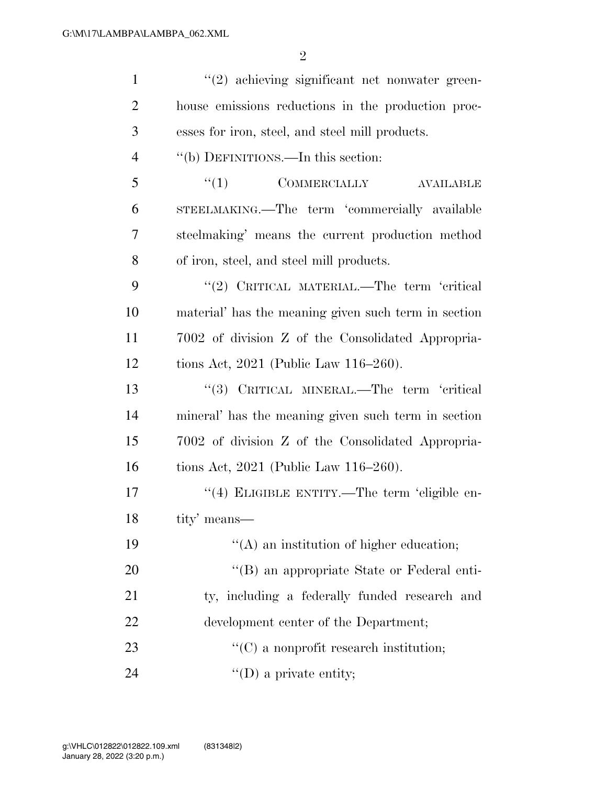| $\mathbf{1}$   | $(2)$ achieving significant net nonwater green-      |
|----------------|------------------------------------------------------|
| $\overline{2}$ | house emissions reductions in the production proc-   |
| 3              | esses for iron, steel, and steel mill products.      |
| $\overline{4}$ | "(b) DEFINITIONS.—In this section:                   |
| 5              | ``(1)<br>COMMERCIALLY<br>AVAILABLE                   |
| 6              | STEELMAKING.—The term 'commercially available        |
| 7              | steelmaking' means the current production method     |
| 8              | of iron, steel, and steel mill products.             |
| 9              | "(2) CRITICAL MATERIAL.—The term 'critical           |
| 10             | material' has the meaning given such term in section |
| 11             | 7002 of division Z of the Consolidated Appropria-    |
| 12             | tions Act, $2021$ (Public Law 116–260).              |
| 13             | "(3) CRITICAL MINERAL.—The term 'critical            |
| 14             | mineral' has the meaning given such term in section  |
| 15             | 7002 of division Z of the Consolidated Appropria-    |
| 16             | tions Act, $2021$ (Public Law 116–260).              |
| 17             | "(4) ELIGIBLE ENTITY.—The term 'eligible en-         |
| 18             | tity' means—                                         |
| 19             | $\lq\lq$ an institution of higher education;         |
| 20             | "(B) an appropriate State or Federal enti-           |
| 21             | ty, including a federally funded research and        |
| 22             | development center of the Department;                |
| 23             | $\lq\lq$ a nonprofit research institution;           |
| 24             | $\lq\lq$ (D) a private entity;                       |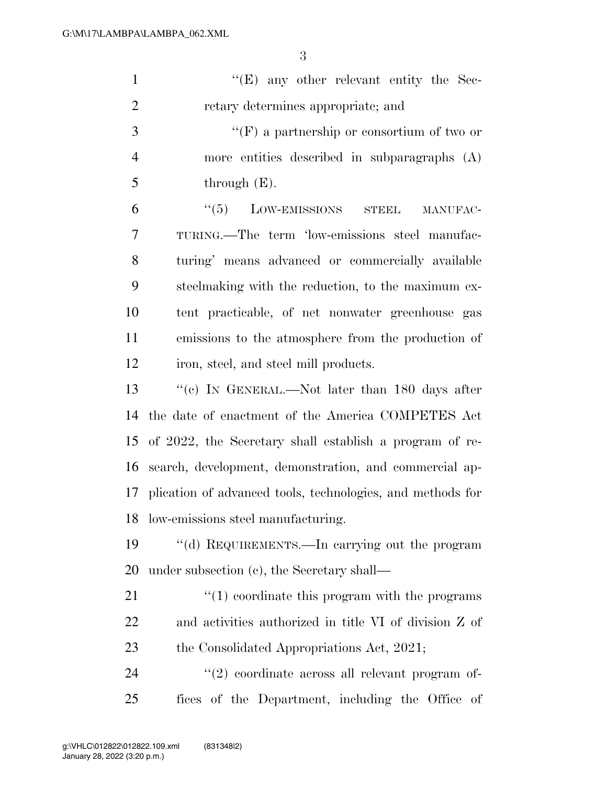| $\mathbf{1}$   | $\lq\lq(E)$ any other relevant entity the Sec-                |
|----------------|---------------------------------------------------------------|
| $\overline{2}$ | retary determines appropriate; and                            |
| 3              | $\lq\lq(F)$ a partnership or consortium of two or             |
| $\overline{4}$ | more entities described in subparagraphs (A)                  |
| 5              | through $(E)$ .                                               |
| 6              | $\lq(5)$ LOW-EMISSIONS STEEL<br>MANUFAC-                      |
| 7              | TURING.—The term 'low-emissions steel manufac-                |
| 8              | turing' means advanced or commercially available              |
| 9              | steelmaking with the reduction, to the maximum ex-            |
| 10             | tent practicable, of net nonwater greenhouse gas              |
| 11             | emissions to the atmosphere from the production of            |
| 12             | iron, steel, and steel mill products.                         |
| 13             | "(c) IN GENERAL.—Not later than 180 days after                |
| 14             | the date of enactment of the America COMPETES Act             |
| 15             | of 2022, the Secretary shall establish a program of re-       |
| 16             | search, development, demonstration, and commercial ap-        |
|                | 17 plication of advanced tools, technologies, and methods for |
|                | 18 low-emissions steel manufacturing.                         |
| 19             | "(d) REQUIREMENTS.—In carrying out the program                |
| 20             | under subsection (c), the Secretary shall—                    |
| 21             | $\lq(1)$ coordinate this program with the programs            |
| 22             | and activities authorized in title VI of division Z of        |
| 23             | the Consolidated Appropriations Act, 2021;                    |
| 24             | $\lq(2)$ coordinate across all relevant program of-           |
| 25             | fices of the Department, including the Office of              |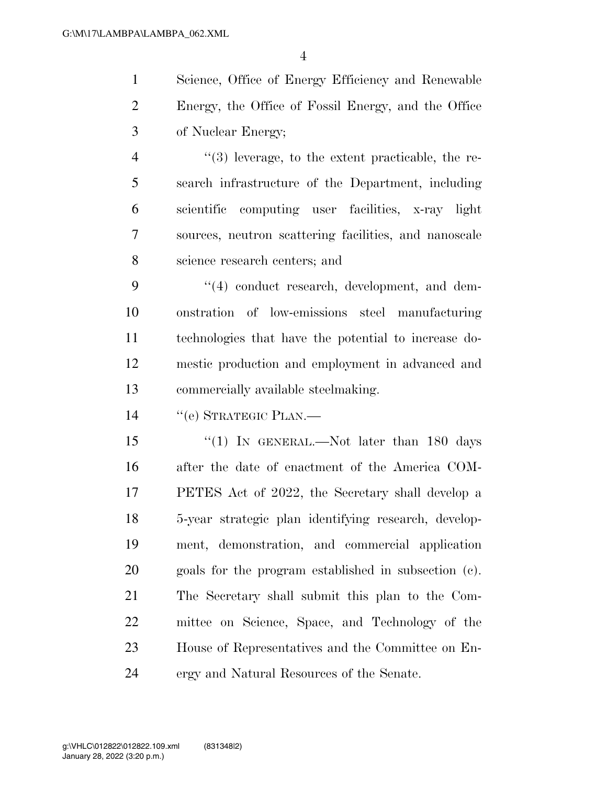Science, Office of Energy Efficiency and Renewable Energy, the Office of Fossil Energy, and the Office of Nuclear Energy;

 ''(3) leverage, to the extent practicable, the re- search infrastructure of the Department, including scientific computing user facilities, x-ray light sources, neutron scattering facilities, and nanoscale science research centers; and

9 "(4) conduct research, development, and dem- onstration of low-emissions steel manufacturing technologies that have the potential to increase do- mestic production and employment in advanced and commercially available steelmaking.

''(e) STRATEGIC PLAN.—

15 ''(1) IN GENERAL.—Not later than 180 days after the date of enactment of the America COM- PETES Act of 2022, the Secretary shall develop a 5-year strategic plan identifying research, develop- ment, demonstration, and commercial application goals for the program established in subsection (c). The Secretary shall submit this plan to the Com- mittee on Science, Space, and Technology of the House of Representatives and the Committee on En-ergy and Natural Resources of the Senate.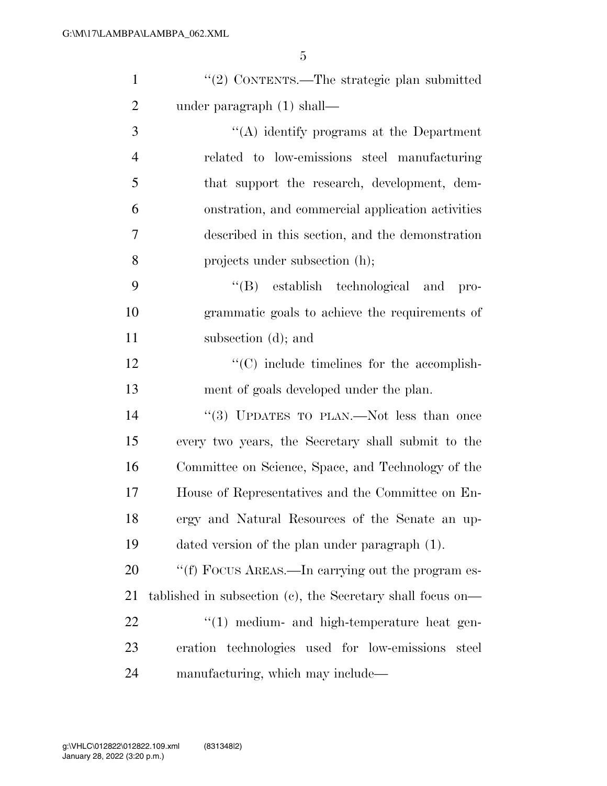| $\mathbf{1}$   | "(2) CONTENTS.—The strategic plan submitted                |
|----------------|------------------------------------------------------------|
| $\overline{2}$ | under paragraph $(1)$ shall—                               |
| 3              | "(A) identify programs at the Department                   |
| $\overline{4}$ | related to low-emissions steel manufacturing               |
| 5              | that support the research, development, dem-               |
| 6              | onstration, and commercial application activities          |
| 7              | described in this section, and the demonstration           |
| 8              | projects under subsection (h);                             |
| 9              | "(B) establish technological and<br>pro-                   |
| 10             | grammatic goals to achieve the requirements of             |
| 11             | subsection (d); and                                        |
| 12             | $\cdot$ (C) include timelines for the accomplish-          |
| 13             | ment of goals developed under the plan.                    |
| 14             | "(3) UPDATES TO PLAN.—Not less than once                   |
| 15             | every two years, the Secretary shall submit to the         |
| 16             | Committee on Science, Space, and Technology of the         |
| 17             | House of Representatives and the Committee on En-          |
| 18             | ergy and Natural Resources of the Senate an up-            |
| 19             | dated version of the plan under paragraph (1).             |
| 20             | "(f) FOCUS AREAS.—In carrying out the program es-          |
| 21             | tablished in subsection (c), the Secretary shall focus on— |
| 22             | $\lq(1)$ medium- and high-temperature heat gen-            |
| 23             | eration technologies used for low-emissions<br>steel       |
| 24             | manufacturing, which may include—                          |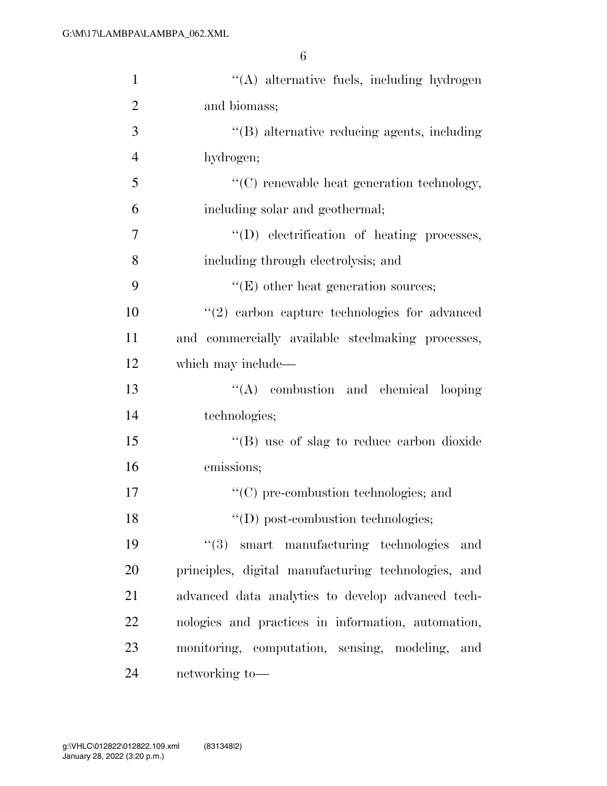| $\mathbf{1}$   | "(A) alternative fuels, including hydrogen          |
|----------------|-----------------------------------------------------|
| $\overline{2}$ | and biomass;                                        |
| 3              | "(B) alternative reducing agents, including         |
| $\overline{4}$ | hydrogen;                                           |
| 5              | $"$ (C) renewable heat generation technology,       |
| 6              | including solar and geothermal;                     |
| 7              | "(D) electrification of heating processes,          |
| 8              | including through electrolysis; and                 |
| 9              | $"$ (E) other heat generation sources;              |
| 10             | $"(2)$ carbon capture technologies for advanced     |
| 11             | and commercially available steelmaking processes,   |
| 12             | which may include—                                  |
| 13             | "(A) combustion and chemical looping                |
| 14             | technologies;                                       |
| 15             | "(B) use of slag to reduce carbon dioxide           |
| 16             | emissions;                                          |
| 17             | "(C) pre-combustion technologies; and               |
| 18             | "(D) post-combustion technologies;                  |
| 19             | $"(3)$ smart manufacturing technologies<br>and      |
| 20             | principles, digital manufacturing technologies, and |
| 21             | advanced data analytics to develop advanced tech-   |
| 22             | nologies and practices in information, automation,  |
| 23             | monitoring, computation, sensing, modeling,<br>and  |
| 24             | networking to-                                      |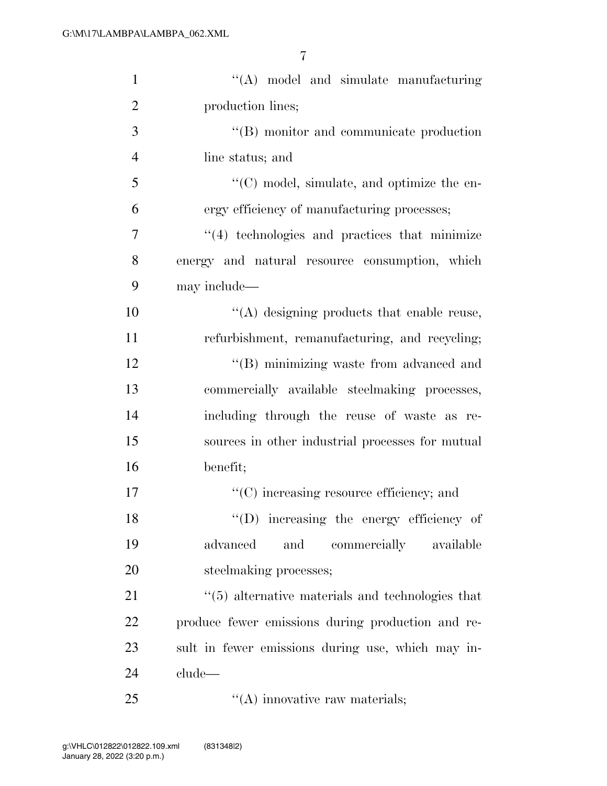| $\mathbf{1}$   | $\lq\lq$ model and simulate manufacturing               |
|----------------|---------------------------------------------------------|
| $\overline{2}$ | production lines;                                       |
| 3              | $\lq\lq$ monitor and communicate production             |
| $\overline{4}$ | line status; and                                        |
| 5              | "(C) model, simulate, and optimize the en-              |
| 6              | ergy efficiency of manufacturing processes;             |
| 7              | $"$ (4) technologies and practices that minimize        |
| 8              | energy and natural resource consumption, which          |
| 9              | may include—                                            |
| 10             | "(A) designing products that enable reuse,              |
| 11             | refurbishment, remanufacturing, and recycling;          |
| 12             | "(B) minimizing waste from advanced and                 |
| 13             | commercially available steelmaking processes,           |
| 14             | including through the reuse of waste as re-             |
| 15             | sources in other industrial processes for mutual        |
| 16             | benefit;                                                |
| 17             | $\lq\lq$ increasing resource efficiency; and            |
| 18             | $\lq\lq$ . Increasing the energy efficiency of          |
| 19             | advanced<br>and<br>commercially available               |
| 20             | steelmaking processes;                                  |
| 21             | $\cdot$ (5) alternative materials and technologies that |
| 22             | produce fewer emissions during production and re-       |
| 23             | sult in fewer emissions during use, which may in-       |
| 24             | clude—                                                  |
| 25             | $\lq\lq$ innovative raw materials;                      |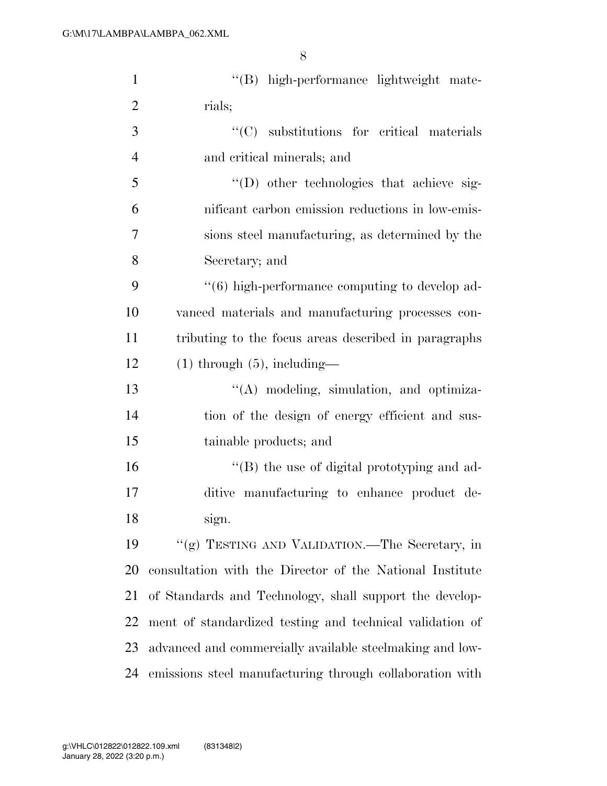| $\mathbf{1}$   | "(B) high-performance lightweight mate-                  |
|----------------|----------------------------------------------------------|
| $\overline{2}$ | rials;                                                   |
| 3              | "(C) substitutions for critical materials                |
| $\overline{4}$ | and critical minerals; and                               |
| 5              | "(D) other technologies that achieve sig-                |
| 6              | nificant carbon emission reductions in low-emis-         |
| 7              | sions steel manufacturing, as determined by the          |
| 8              | Secretary; and                                           |
| 9              | "(6) high-performance computing to develop ad-           |
| 10             | vanced materials and manufacturing processes con-        |
| 11             | tributing to the focus areas described in paragraphs     |
| 12             | $(1)$ through $(5)$ , including—                         |
| 13             | "(A) modeling, simulation, and optimiza-                 |
| 14             | tion of the design of energy efficient and sus-          |
| 15             | tainable products; and                                   |
| 16             | "(B) the use of digital prototyping and ad-              |
| 17             | ditive manufacturing to enhance product de-              |
| 18             | sign.                                                    |
| 19             | "(g) TESTING AND VALIDATION.—The Secretary, in           |
| 20             | consultation with the Director of the National Institute |
| 21             | of Standards and Technology, shall support the develop-  |
| 22             | ment of standardized testing and technical validation of |
| 23             | advanced and commercially available steelmaking and low- |
| 24             | emissions steel manufacturing through collaboration with |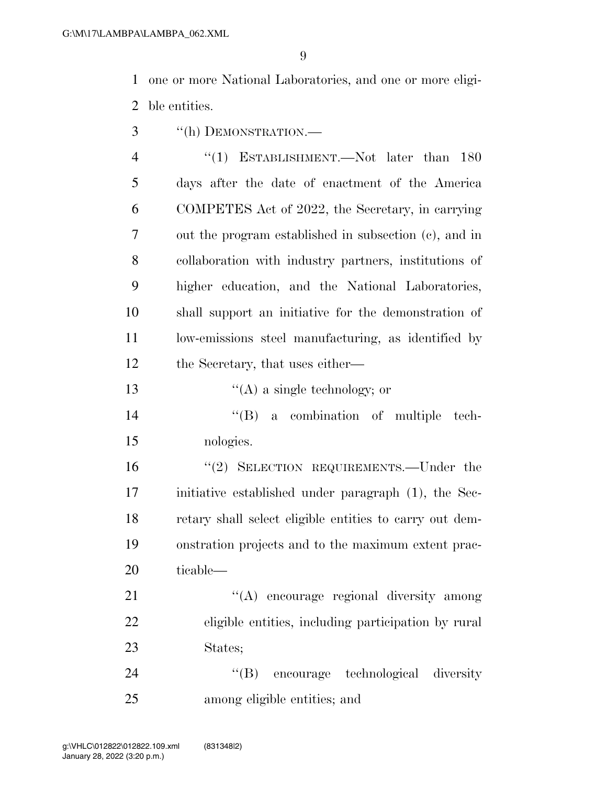one or more National Laboratories, and one or more eligi-ble entities.

''(h) DEMONSTRATION.—

4 "(1) ESTABLISHMENT.—Not later than 180 days after the date of enactment of the America COMPETES Act of 2022, the Secretary, in carrying out the program established in subsection (c), and in collaboration with industry partners, institutions of higher education, and the National Laboratories, shall support an initiative for the demonstration of low-emissions steel manufacturing, as identified by 12 the Secretary, that uses either—

- 13  $\frac{1}{2}$   $\frac{1}{2}$   $\frac{1}{2}$  a single technology; or
- ''(B) a combination of multiple tech-nologies.

 ''(2) SELECTION REQUIREMENTS.—Under the initiative established under paragraph (1), the Sec- retary shall select eligible entities to carry out dem- onstration projects and to the maximum extent prac-ticable—

21 "(A) encourage regional diversity among eligible entities, including participation by rural States;

24 "(B) encourage technological diversity among eligible entities; and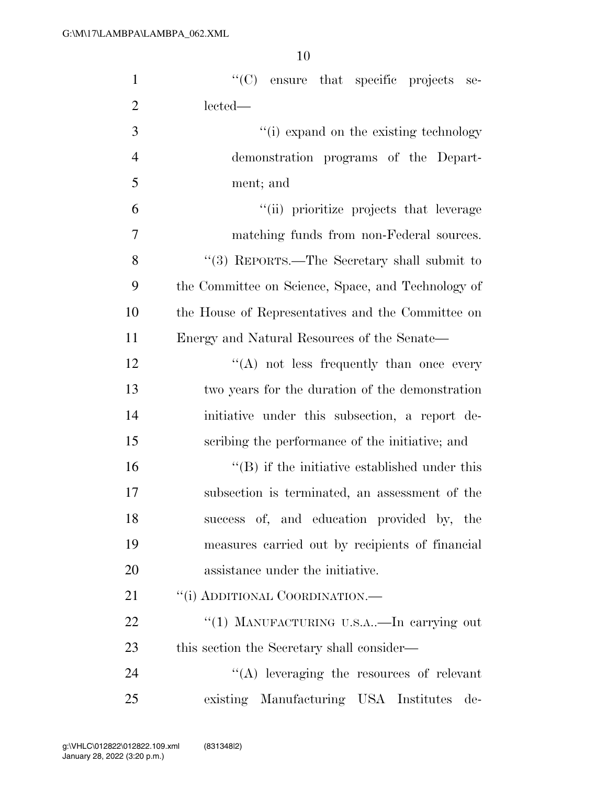| $\mathbf{1}$   | "(C) ensure that specific projects se-             |
|----------------|----------------------------------------------------|
| $\overline{2}$ | lected—                                            |
| 3              | "(i) expand on the existing technology             |
| $\overline{4}$ | demonstration programs of the Depart-              |
| 5              | ment; and                                          |
| 6              | "(ii) prioritize projects that leverage            |
| 7              | matching funds from non-Federal sources.           |
| 8              | "(3) REPORTS.—The Secretary shall submit to        |
| 9              | the Committee on Science, Space, and Technology of |
| 10             | the House of Representatives and the Committee on  |
| 11             | Energy and Natural Resources of the Senate—        |
| 12             | "(A) not less frequently than once every           |
| 13             | two years for the duration of the demonstration    |
| 14             | initiative under this subsection, a report de-     |
| 15             | scribing the performance of the initiative; and    |
| 16             | $\lq\lq$ if the initiative established under this  |
| 17             | subsection is terminated, an assessment of the     |
| 18             | success of, and education provided by, the         |
| 19             | measures carried out by recipients of financial    |
| 20             | assistance under the initiative.                   |
| 21             | "(i) ADDITIONAL COORDINATION.—                     |
| 22             | "(1) MANUFACTURING U.S.A—In carrying out           |
| 23             | this section the Secretary shall consider—         |
| 24             | "(A) leveraging the resources of relevant          |
| 25             | existing Manufacturing USA Institutes<br>de-       |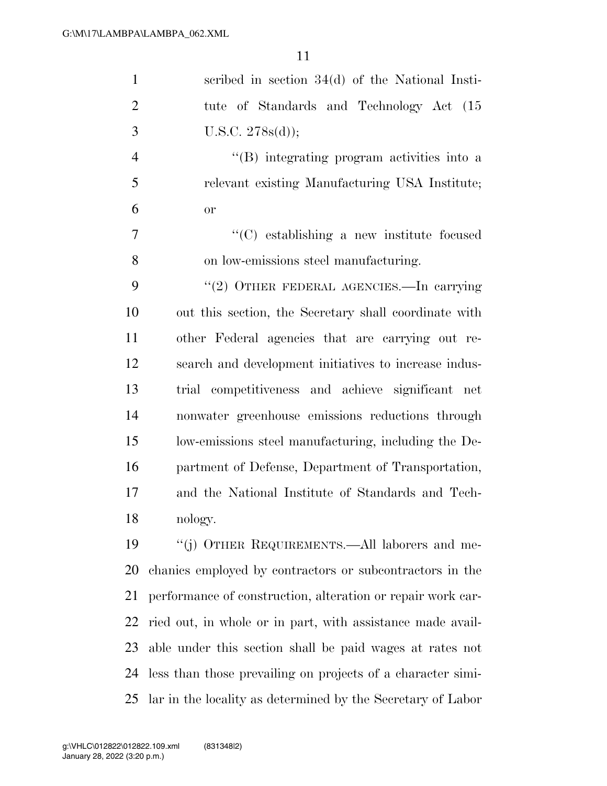| $\mathbf{1}$   | scribed in section $34(d)$ of the National Insti-           |
|----------------|-------------------------------------------------------------|
|                |                                                             |
| $\overline{2}$ | tute of Standards and Technology Act (15)                   |
| 3              | U.S.C. 278s(d));                                            |
| $\overline{4}$ | "(B) integrating program activities into a                  |
| 5              | relevant existing Manufacturing USA Institute;              |
| 6              | or                                                          |
| 7              | $\cdot$ (C) establishing a new institute focused            |
| 8              | on low-emissions steel manufacturing.                       |
| 9              | "(2) OTHER FEDERAL AGENCIES.—In carrying                    |
| 10             | out this section, the Secretary shall coordinate with       |
| 11             | other Federal agencies that are carrying out re-            |
| 12             | search and development initiatives to increase indus-       |
| 13             | trial competitiveness and achieve significant net           |
| 14             | nonwater greenhouse emissions reductions through            |
| 15             | low-emissions steel manufacturing, including the De-        |
| 16             | partment of Defense, Department of Transportation,          |
| 17             | and the National Institute of Standards and Tech-           |
| 18             | nology.                                                     |
| 19             | "(j) OTHER REQUIREMENTS.—All laborers and me-               |
| 20             | chanics employed by contractors or subcontractors in the    |
| 21             | performance of construction, alteration or repair work car- |
| 22             | ried out, in whole or in part, with assistance made avail-  |
| 23             | able under this section shall be paid wages at rates not    |
| 24             | less than those prevailing on projects of a character simi- |
| 25             | lar in the locality as determined by the Secretary of Labor |